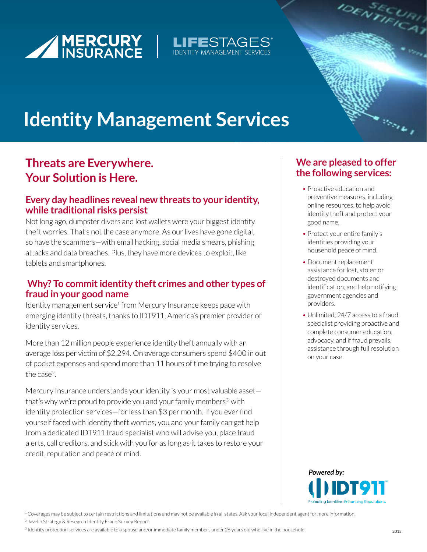





# **Identity Management Services**

### **Threats are Everywhere. Your Solution is Here.**

#### **Every day headlines reveal new threats to your identity, while traditional risks persist**

Not long ago, dumpster divers and lost wallets were your biggest identity theft worries. That's not the case anymore. As our lives have gone digital, so have the scammers—with email hacking, social media smears, phishing attacks and data breaches. Plus, they have more devices to exploit, like tablets and smartphones.

#### **Why? To commit identity theft crimes and other types of fraud in your good name**

Identity management service<sup>1</sup> from Mercury Insurance keeps pace with emerging identity threats, thanks to IDT911, America's premier provider of identity services.

More than 12 million people experience identity theft annually with an average loss per victim of \$2,294. On average consumers spend \$400 in out of pocket expenses and spend more than 11 hours of time trying to resolve the case<sup>2</sup>.

Mercury Insurance understands your identity is your most valuable asset that's why we're proud to provide you and your family members<sup>3</sup> with identity protection services—for less than \$3 per month. If you ever find yourself faced with identity theft worries, you and your family can get help from a dedicated IDT911 fraud specialist who will advise you, place fraud alerts, call creditors, and stick with you for as long as it takes to restore your credit, reputation and peace of mind.

### **We are pleased to offer the following services:**

- Proactive education and preventive measures, including online resources, to help avoid identity theft and protect your good name.
- Protect your entire family's identities providing your household peace of mind.
- Document replacement assistance for lost, stolen or destroyed documents and identification, and help notifying government agencies and providers.
- Unlimited, 24/7 access to a fraud specialist providing proactive and complete consumer education, advocacy, and if fraud prevails, assistance through full resolution on your case.



<sup>1</sup> Coverages may be subject to certain restrictions and limitations and may not be available in all states. Ask your local independent agent for more information.

2 Javelin Strategy & Research Identity Fraud Survey Report

3 Identity protection services are available to a spouse and/or immediate family members under 26 years old who live in the household.